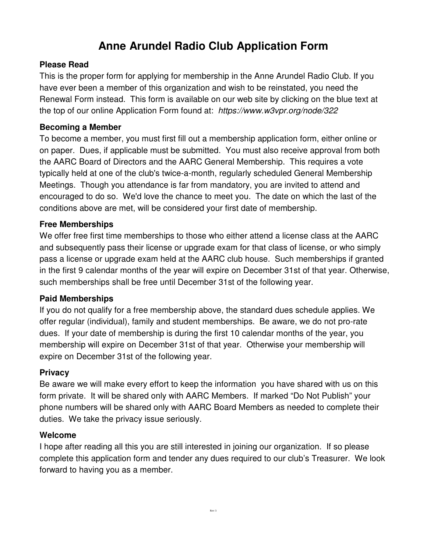# **Anne Arundel Radio Club Application Form**

#### **Please Read**

This is the proper form for applying for membership in the Anne Arundel Radio Club. If you have ever been a member of this organization and wish to be reinstated, you need the Renewal Form instead. This form is available on our web site by clicking on the blue text at the top of our online Application Form found at: https://www.w3vpr.org/node/322

#### **Becoming a Member**

To become a member, you must first fill out a membership application form, either online or on paper. Dues, if applicable must be submitted. You must also receive approval from both the AARC Board of Directors and the AARC General Membership. This requires a vote typically held at one of the club's twice-a-month, regularly scheduled General Membership Meetings. Though you attendance is far from mandatory, you are invited to attend and encouraged to do so. We'd love the chance to meet you. The date on which the last of the conditions above are met, will be considered your first date of membership.

### **Free Memberships**

We offer free first time memberships to those who either attend a license class at the AARC and subsequently pass their license or upgrade exam for that class of license, or who simply pass a license or upgrade exam held at the AARC club house. Such memberships if granted in the first 9 calendar months of the year will expire on December 31st of that year. Otherwise, such memberships shall be free until December 31st of the following year.

#### **Paid Memberships**

If you do not qualify for a free membership above, the standard dues schedule applies. We offer regular (individual), family and student memberships. Be aware, we do not pro-rate dues. If your date of membership is during the first 10 calendar months of the year, you membership will expire on December 31st of that year. Otherwise your membership will expire on December 31st of the following year.

#### **Privacy**

Be aware we will make every effort to keep the information you have shared with us on this form private. It will be shared only with AARC Members. If marked "Do Not Publish" your phone numbers will be shared only with AARC Board Members as needed to complete their duties. We take the privacy issue seriously.

#### **Welcome**

I hope after reading all this you are still interested in joining our organization. If so please complete this application form and tender any dues required to our club's Treasurer. We look forward to having you as a member.